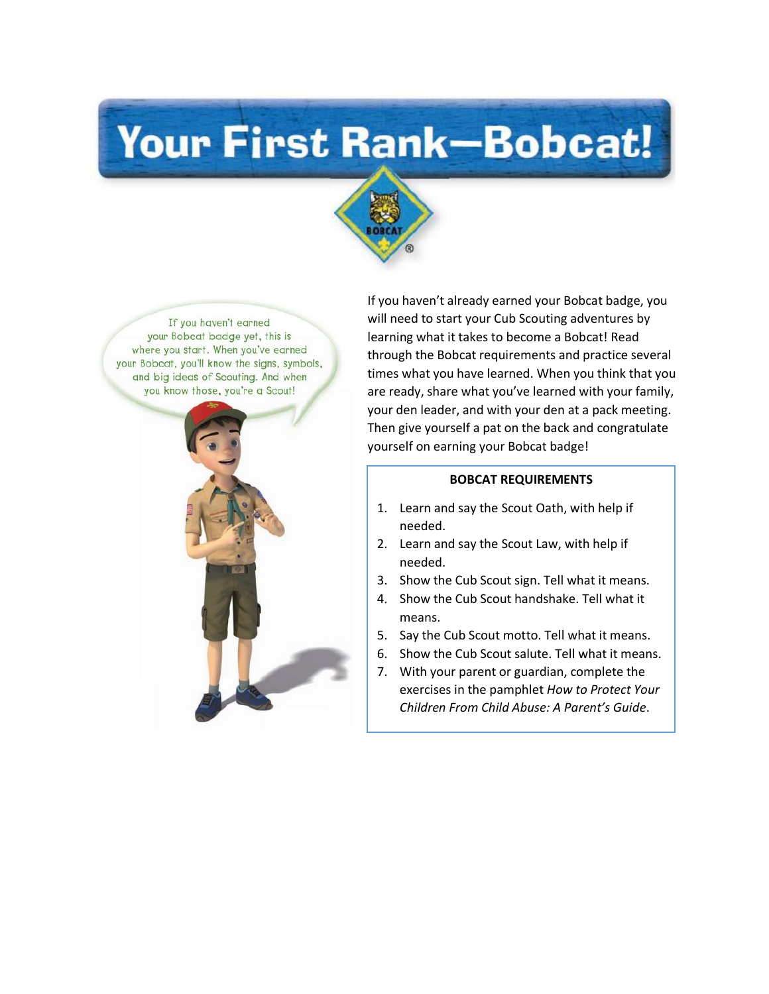# Your First Rank-Bobcat!



If you haven't earned your Bobcat badge yet, this is where you start. When you've earned your Bobcat, you'll know the signs, symbols, and big ideas of Scouting. And when you know those, you're a Scout!



If you haven't already earned your Bobcat badge, you will need to start your Cub Scouting adventures by learning what it takes to become a Bobcat! Read through the Bobcat requirements and practice several times what you have learned. When you think that you are ready, share what you've learned with your family, your den leader, and with your den at a pack meeting. Then give yourself a pat on the back and congratulate yourself on earning your Bobcat badge!

#### **BOBCAT REQUIREMENTS**

- 1. Learn and say the Scout Oath, with help if needed.
- 2. Learn and say the Scout Law, with help if needed.
- 3. Show the Cub Scout sign. Tell what it means.
- 4. Show the Cub Scout handshake. Tell what it means.
- 5. Say the Cub Scout motto. Tell what it means.
- 6. Show the Cub Scout salute. Tell what it means.
- 7. With your parent or guardian, complete the exercises in the pamphlet *How to Protect Your Children From Child Abuse: A Parent's Guide*.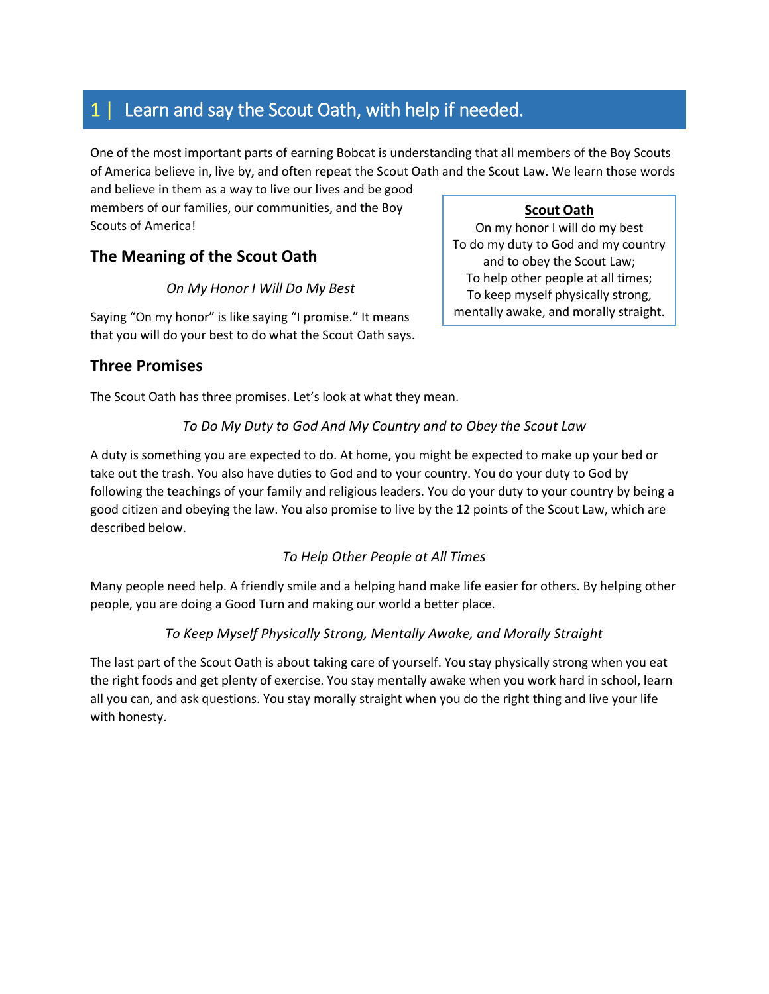## 1 | Learn and say the Scout Oath, with help if needed.

One of the most important parts of earning Bobcat is understanding that all members of the Boy Scouts of America believe in, live by, and often repeat the Scout Oath and the Scout Law. We learn those words

and believe in them as a way to live our lives and be good members of our families, our communities, and the Boy Scouts of America!

## **The Meaning of the Scout Oath**

#### *On My Honor I Will Do My Best*

Saying "On my honor" is like saying "I promise." It means that you will do your best to do what the Scout Oath says.

#### **Three Promises**

The Scout Oath has three promises. Let's look at what they mean.

#### *To Do My Duty to God And My Country and to Obey the Scout Law*

A duty is something you are expected to do. At home, you might be expected to make up your bed or take out the trash. You also have duties to God and to your country. You do your duty to God by following the teachings of your family and religious leaders. You do your duty to your country by being a good citizen and obeying the law. You also promise to live by the 12 points of the Scout Law, which are described below.

#### *To Help Other People at All Times*

Many people need help. A friendly smile and a helping hand make life easier for others. By helping other people, you are doing a Good Turn and making our world a better place.

#### *To Keep Myself Physically Strong, Mentally Awake, and Morally Straight*

The last part of the Scout Oath is about taking care of yourself. You stay physically strong when you eat the right foods and get plenty of exercise. You stay mentally awake when you work hard in school, learn all you can, and ask questions. You stay morally straight when you do the right thing and live your life with honesty.

**Scout Oath** On my honor I will do my best To do my duty to God and my country and to obey the Scout Law; To help other people at all times; To keep myself physically strong, mentally awake, and morally straight.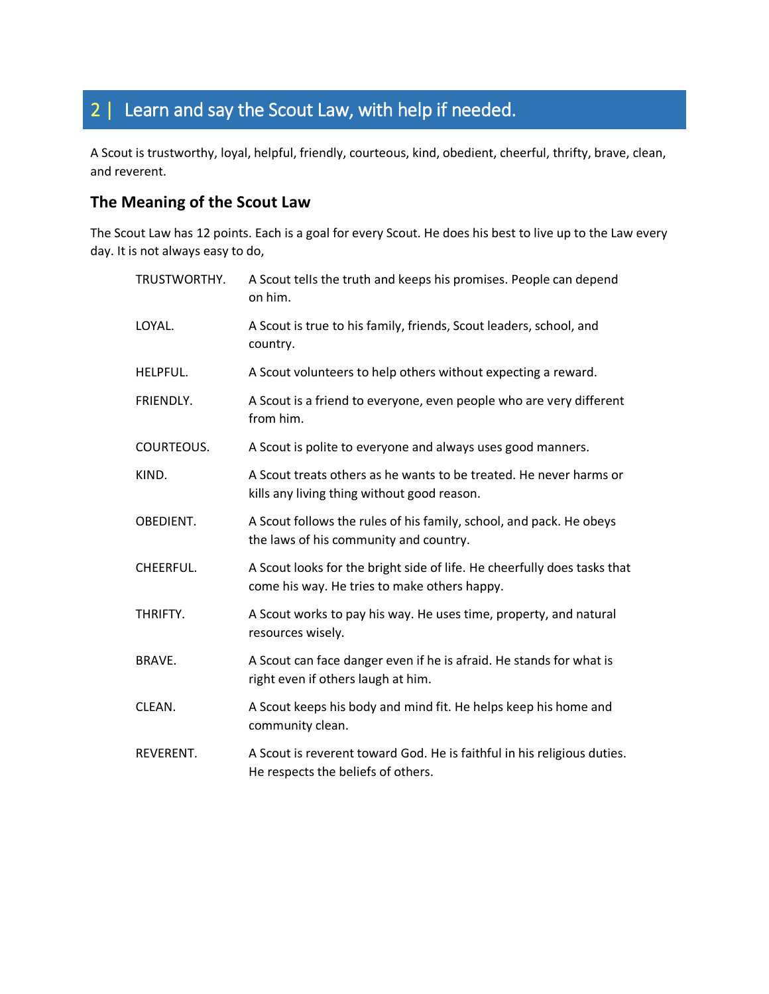# 2 | Learn and say the Scout Law, with help if needed.

A Scout is trustworthy, loyal, helpful, friendly, courteous, kind, obedient, cheerful, thrifty, brave, clean, and reverent.

### **The Meaning of the Scout Law**

The Scout Law has 12 points. Each is a goal for every Scout. He does his best to live up to the Law every day. It is not always easy to do,

| TRUSTWORTHY.  | A Scout tells the truth and keeps his promises. People can depend<br>on him.                                             |
|---------------|--------------------------------------------------------------------------------------------------------------------------|
| LOYAL.        | A Scout is true to his family, friends, Scout leaders, school, and<br>country.                                           |
| HELPFUL.      | A Scout volunteers to help others without expecting a reward.                                                            |
| FRIENDLY.     | A Scout is a friend to everyone, even people who are very different<br>from him.                                         |
| COURTEOUS.    | A Scout is polite to everyone and always uses good manners.                                                              |
| KIND.         | A Scout treats others as he wants to be treated. He never harms or<br>kills any living thing without good reason.        |
| OBEDIENT.     | A Scout follows the rules of his family, school, and pack. He obeys<br>the laws of his community and country.            |
| CHEERFUL.     | A Scout looks for the bright side of life. He cheerfully does tasks that<br>come his way. He tries to make others happy. |
| THRIFTY.      | A Scout works to pay his way. He uses time, property, and natural<br>resources wisely.                                   |
| <b>BRAVE.</b> | A Scout can face danger even if he is afraid. He stands for what is<br>right even if others laugh at him.                |
| CLEAN.        | A Scout keeps his body and mind fit. He helps keep his home and<br>community clean.                                      |
| REVERENT.     | A Scout is reverent toward God. He is faithful in his religious duties.<br>He respects the beliefs of others.            |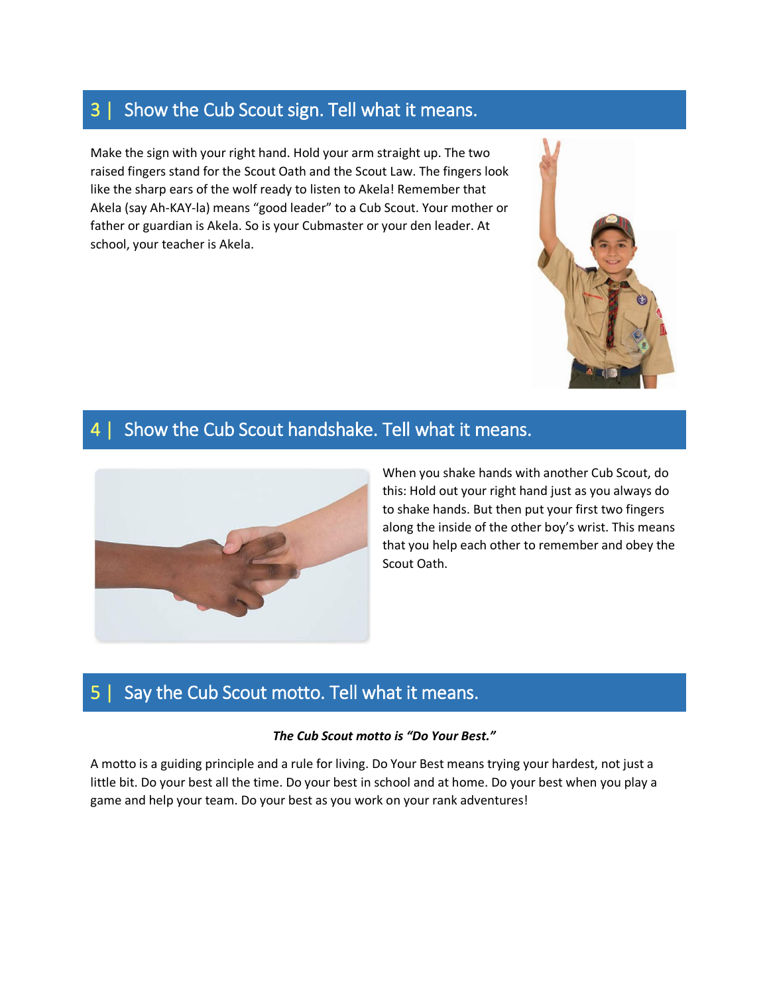## 3 | Show the Cub Scout sign. Tell what it means.

Make the sign with your right hand. Hold your arm straight up. The two raised fingers stand for the Scout Oath and the Scout Law. The fingers look like the sharp ears of the wolf ready to listen to Akela! Remember that Akela (say Ah-KAY-la) means "good leader" to a Cub Scout. Your mother or father or guardian is Akela. So is your Cubmaster or your den leader. At school, your teacher is Akela.



## 4 | Show the Cub Scout handshake. Tell what it means.



When you shake hands with another Cub Scout, do this: Hold out your right hand just as you always do to shake hands. But then put your first two fingers along the inside of the other boy's wrist. This means that you help each other to remember and obey the Scout Oath.

## 5 | Say the Cub Scout motto. Tell what it means.

#### *The Cub Scout motto is "Do Your Best."*

A motto is a guiding principle and a rule for living. Do Your Best means trying your hardest, not just a little bit. Do your best all the time. Do your best in school and at home. Do your best when you play a game and help your team. Do your best as you work on your rank adventures!